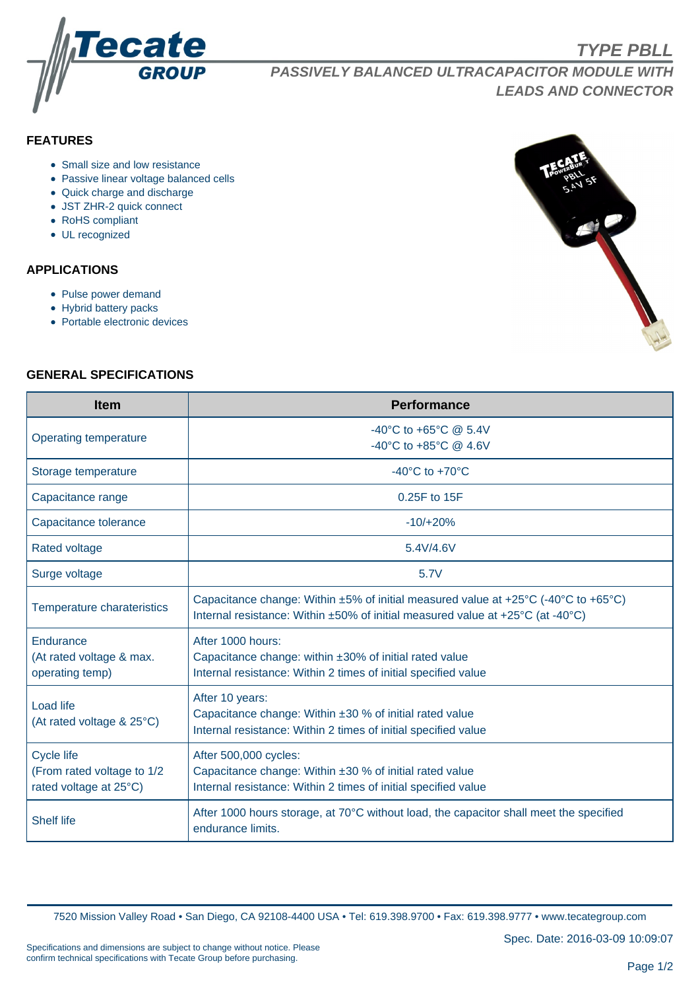

**PASSIVELY BALANCED ULTRACAPACITOR MODULE WITH LEADS AND CONNECTOR**

# **FEATURES**

- Small size and low resistance
- Passive linear voltage balanced cells
- Quick charge and discharge
- JST ZHR-2 quick connect
- RoHS compliant
- UL recognized

## **APPLICATIONS**

- Pulse power demand
- Hybrid battery packs
- Portable electronic devices



**TYPE PBLL**

## **GENERAL SPECIFICATIONS**

| <b>Item</b>                                                               | <b>Performance</b>                                                                                                                                                                      |  |  |  |  |
|---------------------------------------------------------------------------|-----------------------------------------------------------------------------------------------------------------------------------------------------------------------------------------|--|--|--|--|
| Operating temperature                                                     | -40°C to +65°C $@$ 5.4V<br>-40°C to +85°C $@$ 4.6V                                                                                                                                      |  |  |  |  |
| Storage temperature                                                       | -40 $^{\circ}$ C to +70 $^{\circ}$ C                                                                                                                                                    |  |  |  |  |
| Capacitance range                                                         | 0.25F to 15F                                                                                                                                                                            |  |  |  |  |
| Capacitance tolerance                                                     | $-10/+20%$                                                                                                                                                                              |  |  |  |  |
| <b>Rated voltage</b>                                                      | 5.4V/4.6V                                                                                                                                                                               |  |  |  |  |
| Surge voltage                                                             | 5.7V                                                                                                                                                                                    |  |  |  |  |
| Temperature charateristics                                                | Capacitance change: Within $\pm 5\%$ of initial measured value at $\pm 25^{\circ}$ C (-40°C to +65°C)<br>Internal resistance: Within ±50% of initial measured value at +25°C (at -40°C) |  |  |  |  |
| Endurance<br>(At rated voltage & max.<br>operating temp)                  | After 1000 hours:<br>Capacitance change: within ±30% of initial rated value<br>Internal resistance: Within 2 times of initial specified value                                           |  |  |  |  |
| <b>Load life</b><br>(At rated voltage & 25°C)                             | After 10 years:<br>Capacitance change: Within ±30 % of initial rated value<br>Internal resistance: Within 2 times of initial specified value                                            |  |  |  |  |
| <b>Cycle life</b><br>(From rated voltage to 1/2<br>rated voltage at 25°C) | After 500,000 cycles:<br>Capacitance change: Within $\pm 30$ % of initial rated value<br>Internal resistance: Within 2 times of initial specified value                                 |  |  |  |  |
| <b>Shelf life</b>                                                         | After 1000 hours storage, at 70°C without load, the capacitor shall meet the specified<br>endurance limits.                                                                             |  |  |  |  |

7520 Mission Valley Road • San Diego, CA 92108-4400 USA • Tel: 619.398.9700 • Fax: 619.398.9777 • www.tecategroup.com